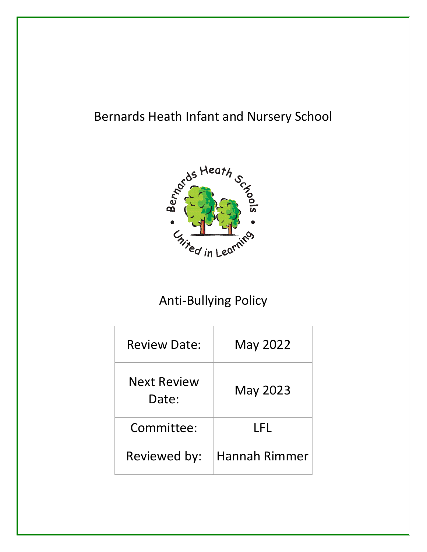# Bernards Heath Infant and Nursery School



# Anti-Bullying Policy

| <b>Review Date:</b>         | <b>May 2022</b>      |
|-----------------------------|----------------------|
| <b>Next Review</b><br>Date: | May 2023             |
| Committee:                  | I FI.                |
| Reviewed by:                | <b>Hannah Rimmer</b> |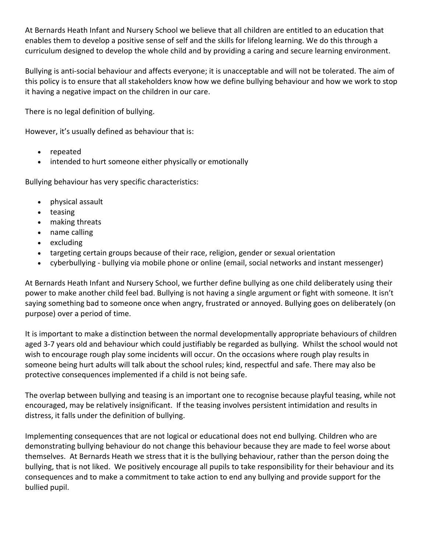At Bernards Heath Infant and Nursery School we believe that all children are entitled to an education that enables them to develop a positive sense of self and the skills for lifelong learning. We do this through a curriculum designed to develop the whole child and by providing a caring and secure learning environment.

Bullying is anti-social behaviour and affects everyone; it is unacceptable and will not be tolerated. The aim of this policy is to ensure that all stakeholders know how we define bullying behaviour and how we work to stop it having a negative impact on the children in our care.

There is no legal definition of bullying.

However, it's usually defined as behaviour that is:

- repeated
- intended to hurt someone either physically or emotionally

Bullying behaviour has very specific characteristics:

- physical assault
- teasing
- making threats
- name calling
- excluding
- targeting certain groups because of their race, religion, gender or sexual orientation
- cyberbullying bullying via mobile phone or online (email, social networks and instant messenger)

At Bernards Heath Infant and Nursery School, we further define bullying as one child deliberately using their power to make another child feel bad. Bullying is not having a single argument or fight with someone. It isn't saying something bad to someone once when angry, frustrated or annoyed. Bullying goes on deliberately (on purpose) over a period of time.

It is important to make a distinction between the normal developmentally appropriate behaviours of children aged 3-7 years old and behaviour which could justifiably be regarded as bullying. Whilst the school would not wish to encourage rough play some incidents will occur. On the occasions where rough play results in someone being hurt adults will talk about the school rules; kind, respectful and safe. There may also be protective consequences implemented if a child is not being safe.

The overlap between bullying and teasing is an important one to recognise because playful teasing, while not encouraged, may be relatively insignificant. If the teasing involves persistent intimidation and results in distress, it falls under the definition of bullying.

Implementing consequences that are not logical or educational does not end bullying. Children who are demonstrating bullying behaviour do not change this behaviour because they are made to feel worse about themselves. At Bernards Heath we stress that it is the bullying behaviour, rather than the person doing the bullying, that is not liked. We positively encourage all pupils to take responsibility for their behaviour and its consequences and to make a commitment to take action to end any bullying and provide support for the bullied pupil.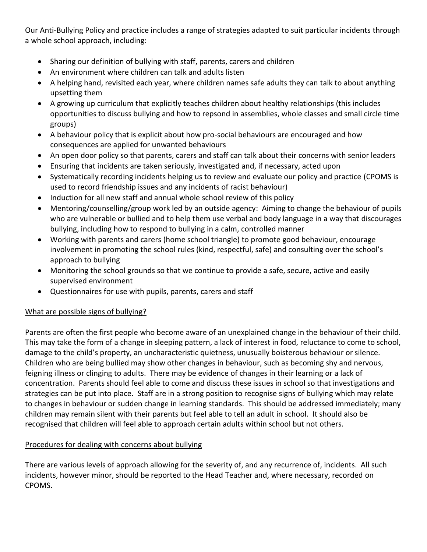Our Anti-Bullying Policy and practice includes a range of strategies adapted to suit particular incidents through a whole school approach, including:

- Sharing our definition of bullying with staff, parents, carers and children
- An environment where children can talk and adults listen
- A helping hand, revisited each year, where children names safe adults they can talk to about anything upsetting them
- A growing up curriculum that explicitly teaches children about healthy relationships (this includes opportunities to discuss bullying and how to repsond in assemblies, whole classes and small circle time groups)
- A behaviour policy that is explicit about how pro-social behaviours are encouraged and how consequences are applied for unwanted behaviours
- An open door policy so that parents, carers and staff can talk about their concerns with senior leaders
- Ensuring that incidents are taken seriously, investigated and, if necessary, acted upon
- Systematically recording incidents helping us to review and evaluate our policy and practice (CPOMS is used to record friendship issues and any incidents of racist behaviour)
- Induction for all new staff and annual whole school review of this policy
- Mentoring/counselling/group work led by an outside agency: Aiming to change the behaviour of pupils who are vulnerable or bullied and to help them use verbal and body language in a way that discourages bullying, including how to respond to bullying in a calm, controlled manner
- Working with parents and carers (home school triangle) to promote good behaviour, encourage involvement in promoting the school rules (kind, respectful, safe) and consulting over the school's approach to bullying
- Monitoring the school grounds so that we continue to provide a safe, secure, active and easily supervised environment
- Questionnaires for use with pupils, parents, carers and staff

## What are possible signs of bullying?

Parents are often the first people who become aware of an unexplained change in the behaviour of their child. This may take the form of a change in sleeping pattern, a lack of interest in food, reluctance to come to school, damage to the child's property, an uncharacteristic quietness, unusually boisterous behaviour or silence. Children who are being bullied may show other changes in behaviour, such as becoming shy and nervous, feigning illness or clinging to adults. There may be evidence of changes in their learning or a lack of concentration. Parents should feel able to come and discuss these issues in school so that investigations and strategies can be put into place. Staff are in a strong position to recognise signs of bullying which may relate to changes in behaviour or sudden change in learning standards. This should be addressed immediately; many children may remain silent with their parents but feel able to tell an adult in school. It should also be recognised that children will feel able to approach certain adults within school but not others.

## Procedures for dealing with concerns about bullying

There are various levels of approach allowing for the severity of, and any recurrence of, incidents. All such incidents, however minor, should be reported to the Head Teacher and, where necessary, recorded on CPOMS.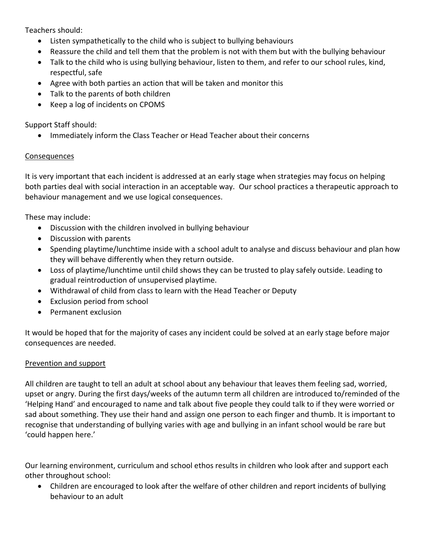Teachers should:

- Listen sympathetically to the child who is subject to bullying behaviours
- Reassure the child and tell them that the problem is not with them but with the bullying behaviour
- Talk to the child who is using bullying behaviour, listen to them, and refer to our school rules, kind, respectful, safe
- Agree with both parties an action that will be taken and monitor this
- Talk to the parents of both children
- Keep a log of incidents on CPOMS

Support Staff should:

• Immediately inform the Class Teacher or Head Teacher about their concerns

### Consequences

It is very important that each incident is addressed at an early stage when strategies may focus on helping both parties deal with social interaction in an acceptable way. Our school practices a therapeutic approach to behaviour management and we use logical consequences.

These may include:

- Discussion with the children involved in bullying behaviour
- Discussion with parents
- Spending playtime/lunchtime inside with a school adult to analyse and discuss behaviour and plan how they will behave differently when they return outside.
- Loss of playtime/lunchtime until child shows they can be trusted to play safely outside. Leading to gradual reintroduction of unsupervised playtime.
- Withdrawal of child from class to learn with the Head Teacher or Deputy
- Exclusion period from school
- Permanent exclusion

It would be hoped that for the majority of cases any incident could be solved at an early stage before major consequences are needed.

### Prevention and support

All children are taught to tell an adult at school about any behaviour that leaves them feeling sad, worried, upset or angry. During the first days/weeks of the autumn term all children are introduced to/reminded of the 'Helping Hand' and encouraged to name and talk about five people they could talk to if they were worried or sad about something. They use their hand and assign one person to each finger and thumb. It is important to recognise that understanding of bullying varies with age and bullying in an infant school would be rare but 'could happen here.'

Our learning environment, curriculum and school ethos results in children who look after and support each other throughout school:

 Children are encouraged to look after the welfare of other children and report incidents of bullying behaviour to an adult